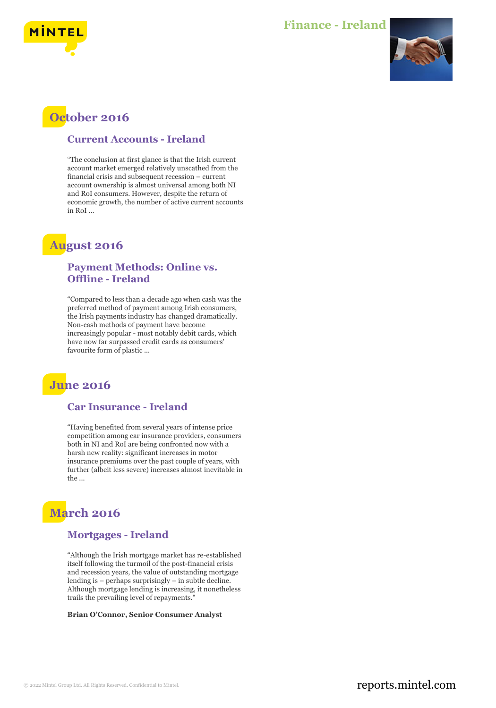

### **Finance - Ireland**



## **October 2016**

#### **Current Accounts - Ireland**

"The conclusion at first glance is that the Irish current account market emerged relatively unscathed from the financial crisis and subsequent recession – current account ownership is almost universal among both NI and RoI consumers. However, despite the return of economic growth, the number of active current accounts in RoI ...

### **August 2016**

#### **Payment Methods: Online vs. Offline - Ireland**

"Compared to less than a decade ago when cash was the preferred method of payment among Irish consumers, the Irish payments industry has changed dramatically. Non-cash methods of payment have become increasingly popular - most notably debit cards, which have now far surpassed credit cards as consumers' favourite form of plastic ...

# **June 2016**

#### **Car Insurance - Ireland**

"Having benefited from several years of intense price competition among car insurance providers, consumers both in NI and RoI are being confronted now with a harsh new reality: significant increases in motor insurance premiums over the past couple of years, with further (albeit less severe) increases almost inevitable in the ...

# **March 2016**

#### **Mortgages - Ireland**

"Although the Irish mortgage market has re-established itself following the turmoil of the post-financial crisis and recession years, the value of outstanding mortgage lending is – perhaps surprisingly – in subtle decline. Although mortgage lending is increasing, it nonetheless trails the prevailing level of repayments."

**Brian O'Connor, Senior Consumer Analyst**